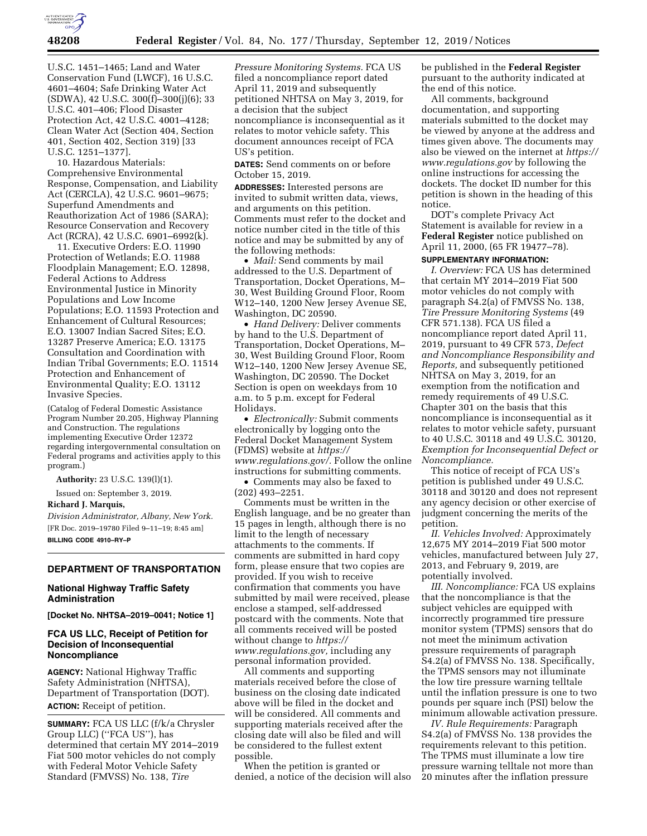

U.S.C. 1451–1465; Land and Water Conservation Fund (LWCF), 16 U.S.C. 4601–4604; Safe Drinking Water Act  $(SDWA)$ , 42 U.S.C. 300 $(f)$ –300 $(j)(6)$ ; 33 U.S.C. 401–406; Flood Disaster Protection Act, 42 U.S.C. 4001–4128; Clean Water Act (Section 404, Section 401, Section 402, Section 319) [33 U.S.C. 1251–1377].

10. Hazardous Materials: Comprehensive Environmental Response, Compensation, and Liability Act (CERCLA), 42 U.S.C. 9601–9675; Superfund Amendments and Reauthorization Act of 1986 (SARA); Resource Conservation and Recovery Act (RCRA), 42 U.S.C. 6901–6992(k).

11. Executive Orders: E.O. 11990 Protection of Wetlands; E.O. 11988 Floodplain Management; E.O. 12898, Federal Actions to Address Environmental Justice in Minority Populations and Low Income Populations; E.O. 11593 Protection and Enhancement of Cultural Resources; E.O. 13007 Indian Sacred Sites; E.O. 13287 Preserve America; E.O. 13175 Consultation and Coordination with Indian Tribal Governments; E.O. 11514 Protection and Enhancement of Environmental Quality; E.O. 13112 Invasive Species.

(Catalog of Federal Domestic Assistance Program Number 20.205, Highway Planning and Construction. The regulations implementing Executive Order 12372 regarding intergovernmental consultation on Federal programs and activities apply to this program.)

**Authority:** 23 U.S.C. 139(l)(1).

Issued on: September 3, 2019.

## **Richard J. Marquis,**

*Division Administrator, Albany, New York.*  [FR Doc. 2019–19780 Filed 9–11–19; 8:45 am] **BILLING CODE 4910–RY–P** 

## **DEPARTMENT OF TRANSPORTATION**

## **National Highway Traffic Safety Administration**

**[Docket No. NHTSA–2019–0041; Notice 1]** 

## **FCA US LLC, Receipt of Petition for Decision of Inconsequential Noncompliance**

**AGENCY:** National Highway Traffic Safety Administration (NHTSA), Department of Transportation (DOT). **ACTION:** Receipt of petition.

**SUMMARY:** FCA US LLC (f/k/a Chrysler Group LLC) (''FCA US''), has determined that certain MY 2014–2019 Fiat 500 motor vehicles do not comply with Federal Motor Vehicle Safety Standard (FMVSS) No. 138, *Tire* 

*Pressure Monitoring Systems.* FCA US filed a noncompliance report dated April 11, 2019 and subsequently petitioned NHTSA on May 3, 2019, for a decision that the subject noncompliance is inconsequential as it relates to motor vehicle safety. This document announces receipt of FCA US's petition.

**DATES:** Send comments on or before October 15, 2019.

**ADDRESSES:** Interested persons are invited to submit written data, views, and arguments on this petition. Comments must refer to the docket and notice number cited in the title of this notice and may be submitted by any of the following methods:

• *Mail:* Send comments by mail addressed to the U.S. Department of Transportation, Docket Operations, M– 30, West Building Ground Floor, Room W12–140, 1200 New Jersey Avenue SE, Washington, DC 20590.

• *Hand Delivery:* Deliver comments by hand to the U.S. Department of Transportation, Docket Operations, M– 30, West Building Ground Floor, Room W12–140, 1200 New Jersey Avenue SE, Washington, DC 20590. The Docket Section is open on weekdays from 10 a.m. to 5 p.m. except for Federal Holidays.

• *Electronically:* Submit comments electronically by logging onto the Federal Docket Management System (FDMS) website at *[https://](https://www.regulations.gov/) [www.regulations.gov/.](https://www.regulations.gov/)* Follow the online instructions for submitting comments.

• Comments may also be faxed to (202) 493–2251.

Comments must be written in the English language, and be no greater than 15 pages in length, although there is no limit to the length of necessary attachments to the comments. If comments are submitted in hard copy form, please ensure that two copies are provided. If you wish to receive confirmation that comments you have submitted by mail were received, please enclose a stamped, self-addressed postcard with the comments. Note that all comments received will be posted without change to *[https://](https://www.regulations.gov) [www.regulations.gov,](https://www.regulations.gov)* including any personal information provided.

All comments and supporting materials received before the close of business on the closing date indicated above will be filed in the docket and will be considered. All comments and supporting materials received after the closing date will also be filed and will be considered to the fullest extent possible.

When the petition is granted or denied, a notice of the decision will also be published in the **Federal Register**  pursuant to the authority indicated at the end of this notice.

All comments, background documentation, and supporting materials submitted to the docket may be viewed by anyone at the address and times given above. The documents may also be viewed on the internet at *[https://](https://www.regulations.gov) [www.regulations.gov](https://www.regulations.gov)* by following the online instructions for accessing the dockets. The docket ID number for this petition is shown in the heading of this notice.

DOT's complete Privacy Act Statement is available for review in a **Federal Register** notice published on April 11, 2000, (65 FR 19477–78).

# **SUPPLEMENTARY INFORMATION:**

*I. Overview:* FCA US has determined that certain MY 2014–2019 Fiat 500 motor vehicles do not comply with paragraph S4.2(a) of FMVSS No. 138, *Tire Pressure Monitoring Systems* (49 CFR 571.138). FCA US filed a noncompliance report dated April 11, 2019, pursuant to 49 CFR 573, *Defect and Noncompliance Responsibility and Reports,* and subsequently petitioned NHTSA on May 3, 2019, for an exemption from the notification and remedy requirements of 49 U.S.C. Chapter 301 on the basis that this noncompliance is inconsequential as it relates to motor vehicle safety, pursuant to 40 U.S.C. 30118 and 49 U.S.C. 30120, *Exemption for Inconsequential Defect or Noncompliance.* 

This notice of receipt of FCA US's petition is published under 49 U.S.C. 30118 and 30120 and does not represent any agency decision or other exercise of judgment concerning the merits of the petition.

*II. Vehicles Involved:* Approximately 12,675 MY 2014–2019 Fiat 500 motor vehicles, manufactured between July 27, 2013, and February 9, 2019, are potentially involved.

*III. Noncompliance:* FCA US explains that the noncompliance is that the subject vehicles are equipped with incorrectly programmed tire pressure monitor system (TPMS) sensors that do not meet the minimum activation pressure requirements of paragraph S4.2(a) of FMVSS No. 138. Specifically, the TPMS sensors may not illuminate the low tire pressure warning telltale until the inflation pressure is one to two pounds per square inch (PSI) below the minimum allowable activation pressure.

*IV. Rule Requirements:* Paragraph S4.2(a) of FMVSS No. 138 provides the requirements relevant to this petition. The TPMS must illuminate a low tire pressure warning telltale not more than 20 minutes after the inflation pressure